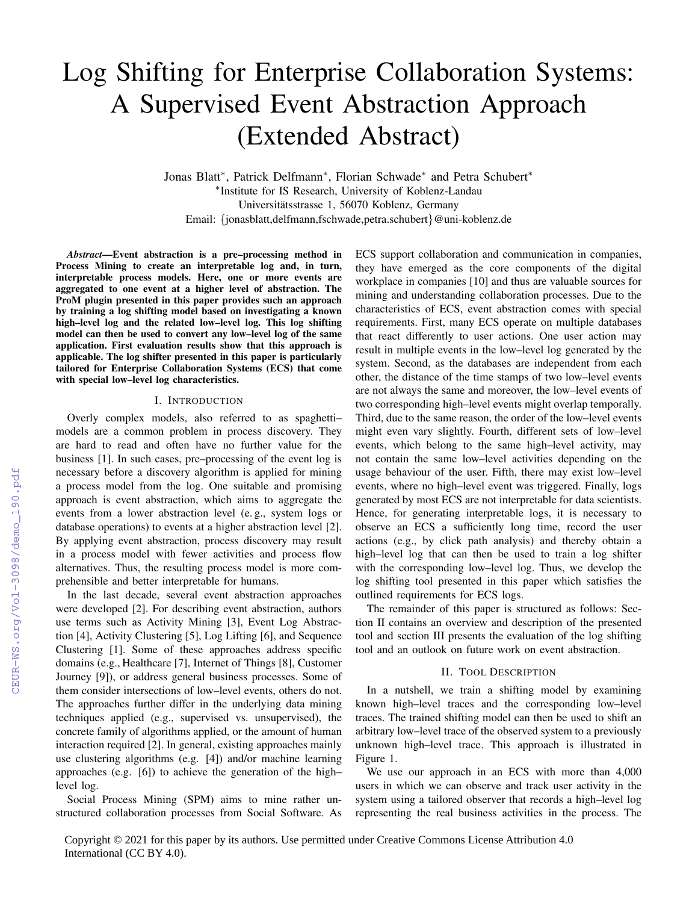# Log Shifting for Enterprise Collaboration Systems: A Supervised Event Abstraction Approach (Extended Abstract)

Jonas Blatt<sup>∗</sup> , Patrick Delfmann<sup>∗</sup> , Florian Schwade<sup>∗</sup> and Petra Schubert<sup>∗</sup> ∗ Institute for IS Research, University of Koblenz-Landau Universitätsstrasse 1, 56070 Koblenz, Germany Email: {jonasblatt,delfmann,fschwade,petra.schubert}@uni-koblenz.de

*Abstract*—Event abstraction is a pre–processing method in Process Mining to create an interpretable log and, in turn, interpretable process models. Here, one or more events are aggregated to one event at a higher level of abstraction. The ProM plugin presented in this paper provides such an approach by training a log shifting model based on investigating a known high–level log and the related low–level log. This log shifting model can then be used to convert any low–level log of the same application. First evaluation results show that this approach is applicable. The log shifter presented in this paper is particularly tailored for Enterprise Collaboration Systems (ECS) that come with special low–level log characteristics.

### I. INTRODUCTION

Overly complex models, also referred to as spaghetti– models are a common problem in process discovery. They are hard to read and often have no further value for the business [\[1\]](#page--1-0). In such cases, pre–processing of the event log is necessary before a discovery algorithm is applied for mining a process model from the log. One suitable and promising approach is event abstraction, which aims to aggregate the events from a lower abstraction level (e. g., system logs or database operations) to events at a higher abstraction level [\[2\]](#page--1-1). By applying event abstraction, process discovery may result in a process model with fewer activities and process flow alternatives. Thus, the resulting process model is more comprehensible and better interpretable for humans.

In the last decade, several event abstraction approaches were developed [\[2\]](#page--1-1). For describing event abstraction, authors use terms such as Activity Mining [\[3\]](#page--1-2), Event Log Abstraction [\[4\]](#page--1-3), Activity Clustering [\[5\]](#page--1-4), Log Lifting [\[6\]](#page--1-5), and Sequence Clustering [\[1\]](#page--1-0). Some of these approaches address specific domains (e.g., Healthcare [\[7\]](#page--1-6), Internet of Things [\[8\]](#page--1-7), Customer Journey [\[9\]](#page--1-8)), or address general business processes. Some of them consider intersections of low–level events, others do not. The approaches further differ in the underlying data mining techniques applied (e.g., supervised vs. unsupervised), the concrete family of algorithms applied, or the amount of human interaction required [\[2\]](#page--1-1). In general, existing approaches mainly use clustering algorithms (e.g. [\[4\]](#page--1-3)) and/or machine learning approaches (e.g. [\[6\]](#page--1-5)) to achieve the generation of the high– level log.

Social Process Mining (SPM) aims to mine rather unstructured collaboration processes from Social Software. As ECS support collaboration and communication in companies, they have emerged as the core components of the digital workplace in companies [\[10\]](#page--1-9) and thus are valuable sources for mining and understanding collaboration processes. Due to the characteristics of ECS, event abstraction comes with special requirements. First, many ECS operate on multiple databases that react differently to user actions. One user action may result in multiple events in the low–level log generated by the system. Second, as the databases are independent from each other, the distance of the time stamps of two low–level events are not always the same and moreover, the low–level events of two corresponding high–level events might overlap temporally. Third, due to the same reason, the order of the low–level events might even vary slightly. Fourth, different sets of low–level events, which belong to the same high–level activity, may not contain the same low–level activities depending on the usage behaviour of the user. Fifth, there may exist low–level events, where no high–level event was triggered. Finally, logs generated by most ECS are not interpretable for data scientists. Hence, for generating interpretable logs, it is necessary to observe an ECS a sufficiently long time, record the user actions (e.g., by click path analysis) and thereby obtain a high–level log that can then be used to train a log shifter with the corresponding low–level log. Thus, we develop the log shifting tool presented in this paper which satisfies the outlined requirements for ECS logs.

The remainder of this paper is structured as follows: Section [II](#page-0-0) contains an overview and description of the presented tool and section [III](#page--1-10) presents the evaluation of the log shifting tool and an outlook on future work on event abstraction.

## II. TOOL DESCRIPTION

<span id="page-0-0"></span>In a nutshell, we train a shifting model by examining known high–level traces and the corresponding low–level traces. The trained shifting model can then be used to shift an arbitrary low–level trace of the observed system to a previously unknown high–level trace. This approach is illustrated in Figure [1.](#page--1-11)

We use our approach in an ECS with more than 4,000 users in which we can observe and track user activity in the system using a tailored observer that records a high–level log representing the real business activities in the process. The